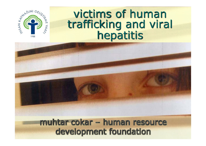

## victims of human trafficking and viral hepatitis

muhtar cokar – human resource development foundation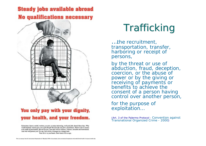### **Steady jobs available abroad No qualifications necessary**



#### You only pay with your dignity, your health, and your freedom.

Entertainer, dancer, model, waitress, an pair; so many interesting, well-paid jobs abroad these days. Why would anybody want to give you a job abroad? Because the real job is prestitution. There's a lot of money to be made in prostitution. But not for you. Your part will be sickness, violence, isolation and humiliation. And who will protect you? No one. You will be a stranger in a strange land.

Your life is in your hands. Don't trade it for a cage.

# Trafficking

…the recruitment, transportation, transfer, harboring or receipt of persons,

by the threat or use of abduction, fraud, deception, coercion, or the abuse of power or by the giving or receiving of payments or benefits to achieve the consent of a person having control over another person,

for the purpose of exploitation…

*(Art. 3 of the Palermo Protocol - Convention against Transnational Organized Crime - 2000)*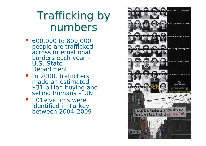# Trafficking by numbers

- 600,000 to 800,000 people are trafficked across international borders each year - U.S. State Department
- **In 2008, traffickers** made an estimated \$31 billion buying and selling humans - UN
- 1019 victims were identified in Turkey between 2004-2009

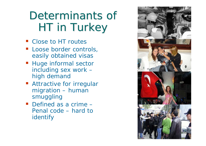# Determinants of HT in Turkey

- Close to HT routes
- **Loose border controls,** easily obtained visas
- **Huge informal sector** including sex work – high demand
- **Attractive for irregular** migration – human smuggling
- Defined as a crime Penal code – hard to identify

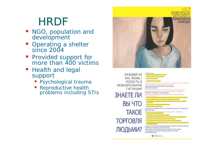# **HRDF**

- NGO, population and development
- Operating a shelter since 2004
- Provided support for more than 400 victims
- Health and legal support
	- **Pandida** Psychological trauma
	- $\overline{\mathbb{R}^2}$  Reproductive health problems including STIs



КАЖДЫЙ ИЗ **HAC MOЖET** ПОПАСТЬ В to are not not to be a local fort a wire that said out the construction and the control of **НЕЖЕЛАТЕЛЬНУЮ** equine and automatic construction of the advance professor. CONACTE SANDARA FIRE HOT ANYWHERE FOR DEVELOP СИТУАЦИЮ **REAL EXPANSIVE REAL** Basic databased a brocedure and tradition as a pulse consumer that are a formational executivisms incorrect a return for appropriate a revolutional ЗНАЕТЕ ЛИ A GAIN OF PERSON TO THE RESIDENCE OF THE PERSON FROM A RANGE Rega episyamining strangeral transportations, notten and monotoned around ВЫ ЧТО · Reservations environment participates HE SHEARTEN RIS FOLDOMAL CONVENCION TRONG OFFICE ROBOTA HERE IN CROSSAL KEING **TAKOE BORD OCTOROGIC** The final burns thate in Thingers was a parameter of power, worsen in treatments **ТОРГОВЛЯ** RESIDENT DV CYNA-RYC TOPTORINI ROSSANI ROBERT DE BRIG TYTIRABILI A COLOR TRICHT DE PASAG TO EST YERS TO CRAFT AN AN OF THE TOTAL WAY. ЛЮДЬМИ? IS DIE K TYPLING C. BAARE VIRG FANDOIS COMMUNICAT, ANGESTE FILM MARINALISME DES RESULTS BOTOTHOMABING BUTINFACETERING AT THINGS IN FOR SILVE **HARD TO FOR BUILDING RD** 

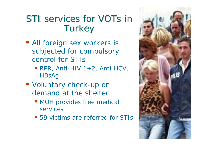## STI services for VOTs in **Turkey**

- **All foreign sex workers is** subjected for compulsory control for STIs
	- $\blacksquare$  RPR, Anti-HIV 1+2, Anti-HCV, **HBsAg**
- Voluntary check-up on demand at the shelter
	- **NOH provides free medical** services
	- 59 victims are referred for STIs

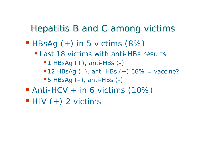### Hepatitis B and C among victims

### $\blacksquare$  HBsAg  $(+)$  in 5 victims  $(8%)$

- **Last 18 victims with anti-HBs results** 
	- $-1$  HBsAg  $(+)$ , anti-HBs  $(-)$
	- $\blacksquare$  12 HBsAg (-), anti-HBs (+) 66% = vaccine?
	- 5 HBsAg (–), anti-HBs (-)
- Anti-HCV + in 6 victims (10%)
- $\blacksquare$  HIV  $(+)$  2 victims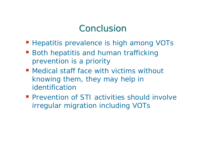## **Conclusion**

- **Hepatitis prevalence is high among VOTs**
- **Both hepatitis and human trafficking** prevention is a priority
- Medical staff face with victims without knowing them, they may help in identification
- **Prevention of STI activities should involve** irregular migration including VOTs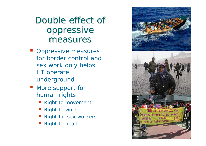## Double effect of oppressive measures

- **Oppressive measures** for border control and sex work only helps HT operate underground
- **More support for** human rights
	- **Right to movement**
	- Right to work
	- Right for sex workers
	- Right to health